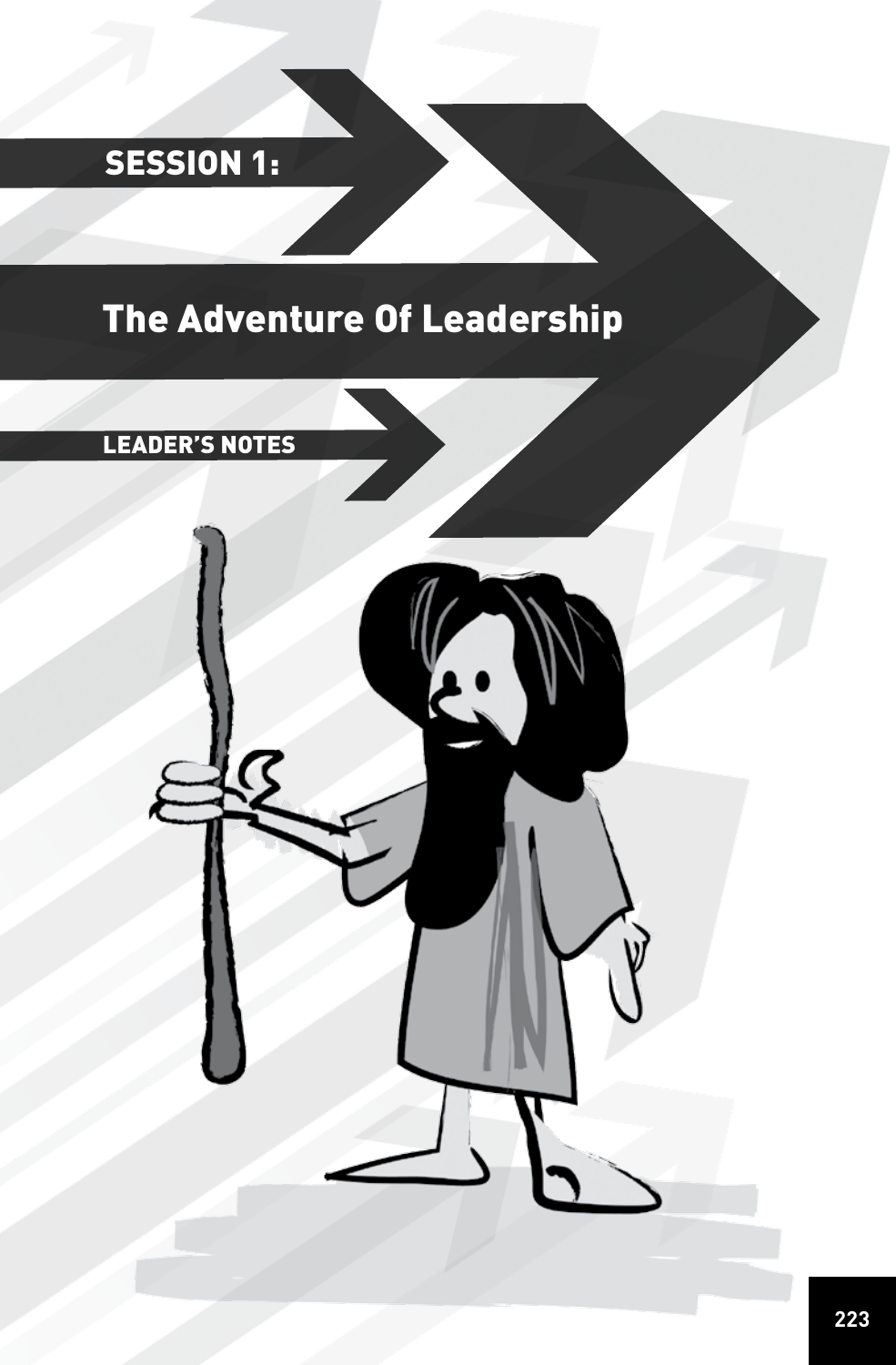# SESSION 1:

# The Adventure Of Leadership

# LEADER'S NOTES

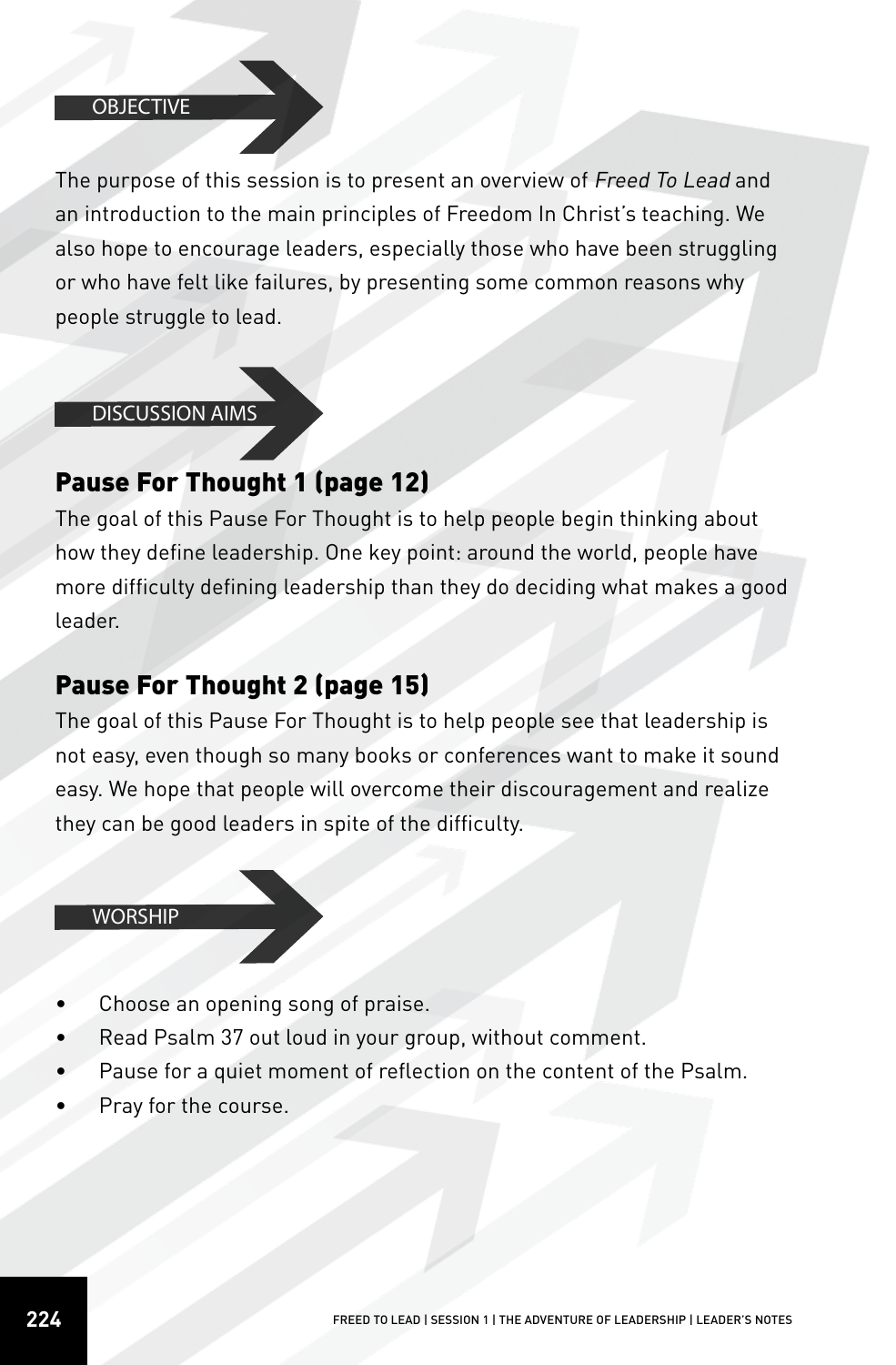#### **OBJECTIVE**

The purpose of this session is to present an overview of Freed To Lead and an introduction to the main principles of Freedom In Christ's teaching. We also hope to encourage leaders, especially those who have been struggling or who have felt like failures, by presenting some common reasons why people struggle to lead.

#### DISCUSSION AIMS

# Pause For Thought 1 (page 12)

The goal of this Pause For Thought is to help people begin thinking about how they define leadership. One key point: around the world, people have more difficulty defining leadership than they do deciding what makes a good leader.

# Pause For Thought 2 (page 15)

The goal of this Pause For Thought is to help people see that leadership is not easy, even though so many books or conferences want to make it sound easy. We hope that people will overcome their discouragement and realize they can be good leaders in spite of the difficulty.

#### **WORSHIP**

- Choose an opening song of praise.
- Read Psalm 37 out loud in your group, without comment.
- Pause for a quiet moment of reflection on the content of the Psalm.
- Pray for the course.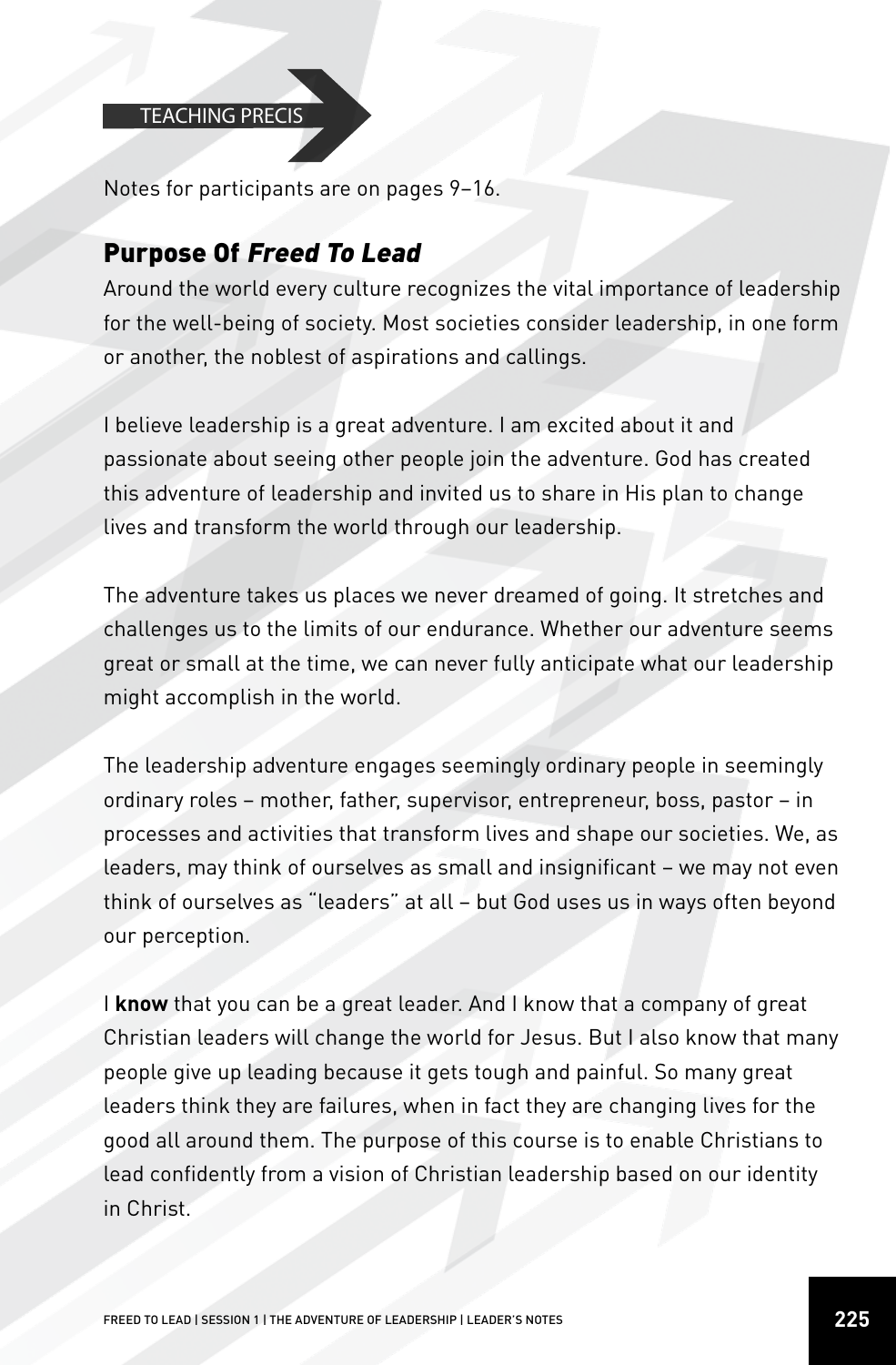#### TEACHING PRECIS

Notes for participants are on pages 9–16.

## Purpose Of Freed To Lead

Around the world every culture recognizes the vital importance of leadership for the well-being of society. Most societies consider leadership, in one form or another, the noblest of aspirations and callings.

I believe leadership is a great adventure. I am excited about it and passionate about seeing other people join the adventure. God has created this adventure of leadership and invited us to share in His plan to change lives and transform the world through our leadership.

The adventure takes us places we never dreamed of going. It stretches and challenges us to the limits of our endurance. Whether our adventure seems great or small at the time, we can never fully anticipate what our leadership might accomplish in the world.

The leadership adventure engages seemingly ordinary people in seemingly ordinary roles – mother, father, supervisor, entrepreneur, boss, pastor – in processes and activities that transform lives and shape our societies. We, as leaders, may think of ourselves as small and insignificant – we may not even think of ourselves as "leaders" at all – but God uses us in ways often beyond our perception.

I **know** that you can be a great leader. And I know that a company of great Christian leaders will change the world for Jesus. But I also know that many people give up leading because it gets tough and painful. So many great leaders think they are failures, when in fact they are changing lives for the good all around them. The purpose of this course is to enable Christians to lead confidently from a vision of Christian leadership based on our identity in Christ.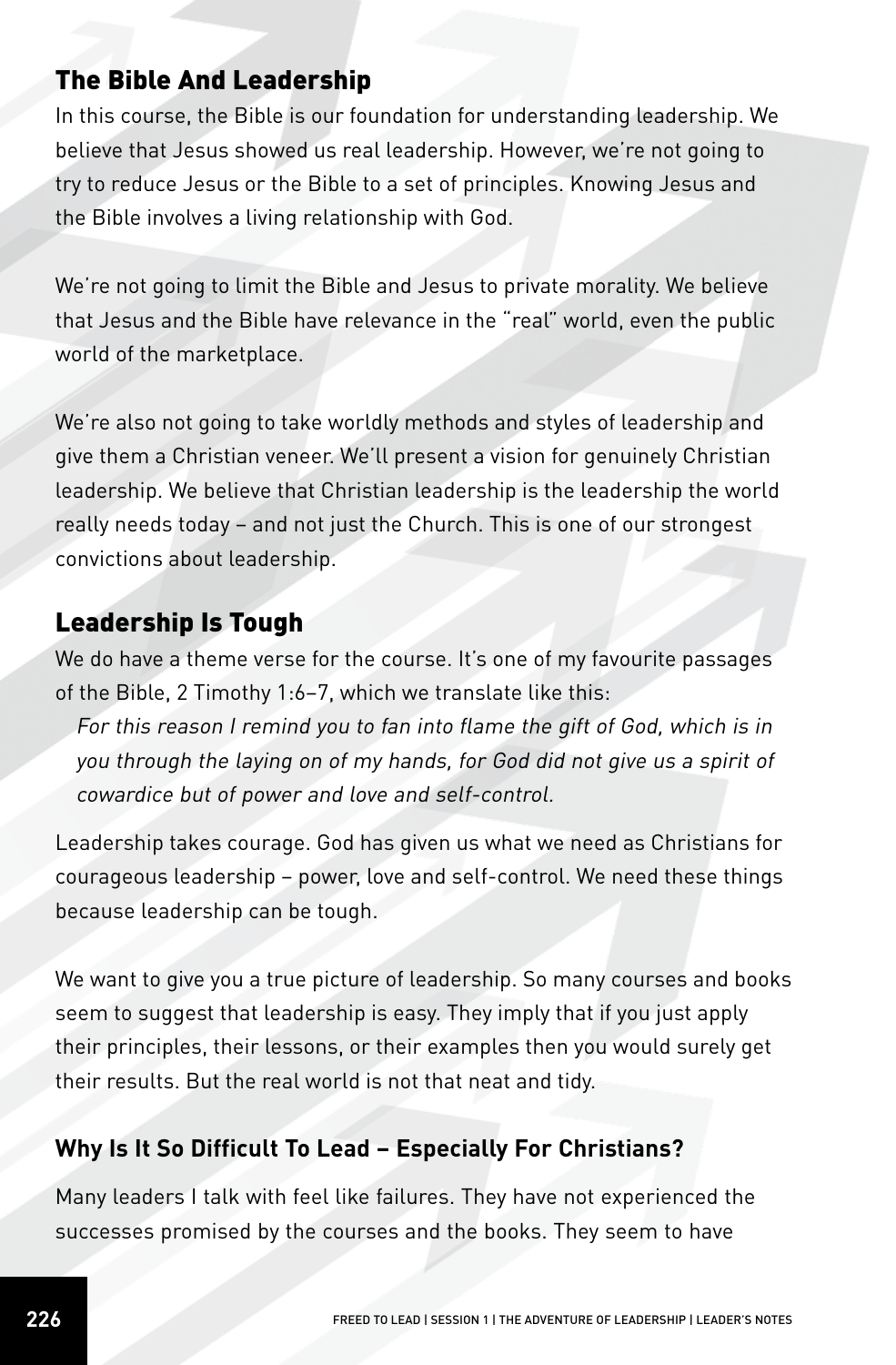# The Bible And Leadership

In this course, the Bible is our foundation for understanding leadership. We believe that Jesus showed us real leadership. However, we're not going to try to reduce Jesus or the Bible to a set of principles. Knowing Jesus and the Bible involves a living relationship with God.

We're not going to limit the Bible and Jesus to private morality. We believe that Jesus and the Bible have relevance in the "real" world, even the public world of the marketplace.

We're also not going to take worldly methods and styles of leadership and give them a Christian veneer. We'll present a vision for genuinely Christian leadership. We believe that Christian leadership is the leadership the world really needs today – and not just the Church. This is one of our strongest convictions about leadership.

# Leadership Is Tough

We do have a theme verse for the course. It's one of my favourite passages of the Bible, 2 Timothy 1:6–7, which we translate like this:

For this reason I remind you to fan into flame the gift of God, which is in you through the laying on of my hands, for God did not give us a spirit of cowardice but of power and love and self-control.

Leadership takes courage. God has given us what we need as Christians for courageous leadership – power, love and self-control. We need these things because leadership can be tough.

We want to give you a true picture of leadership. So many courses and books seem to suggest that leadership is easy. They imply that if you just apply their principles, their lessons, or their examples then you would surely get their results. But the real world is not that neat and tidy.

## **Why Is It So Difficult To Lead – Especially For Christians?**

Many leaders I talk with feel like failures. They have not experienced the successes promised by the courses and the books. They seem to have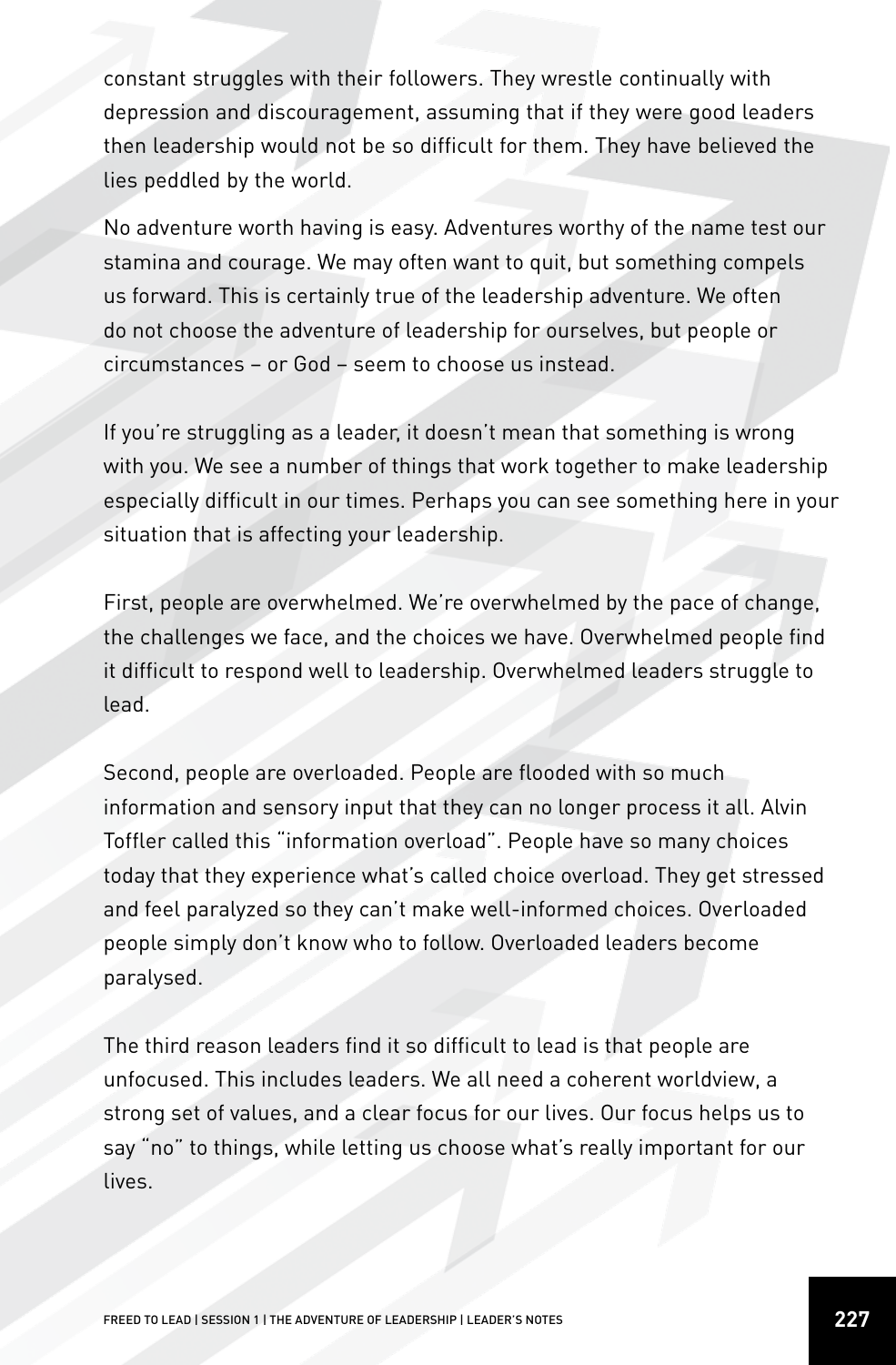constant struggles with their followers. They wrestle continually with depression and discouragement, assuming that if they were good leaders then leadership would not be so difficult for them. They have believed the lies peddled by the world.

No adventure worth having is easy. Adventures worthy of the name test our stamina and courage. We may often want to quit, but something compels us forward. This is certainly true of the leadership adventure. We often do not choose the adventure of leadership for ourselves, but people or circumstances – or God – seem to choose us instead.

If you're struggling as a leader, it doesn't mean that something is wrong with you. We see a number of things that work together to make leadership especially difficult in our times. Perhaps you can see something here in your situation that is affecting your leadership.

First, people are overwhelmed. We're overwhelmed by the pace of change, the challenges we face, and the choices we have. Overwhelmed people find it difficult to respond well to leadership. Overwhelmed leaders struggle to lead.

Second, people are overloaded. People are flooded with so much information and sensory input that they can no longer process it all. Alvin Toffler called this "information overload". People have so many choices today that they experience what's called choice overload. They get stressed and feel paralyzed so they can't make well-informed choices. Overloaded people simply don't know who to follow. Overloaded leaders become paralysed.

The third reason leaders find it so difficult to lead is that people are unfocused. This includes leaders. We all need a coherent worldview, a strong set of values, and a clear focus for our lives. Our focus helps us to say "no" to things, while letting us choose what's really important for our lives.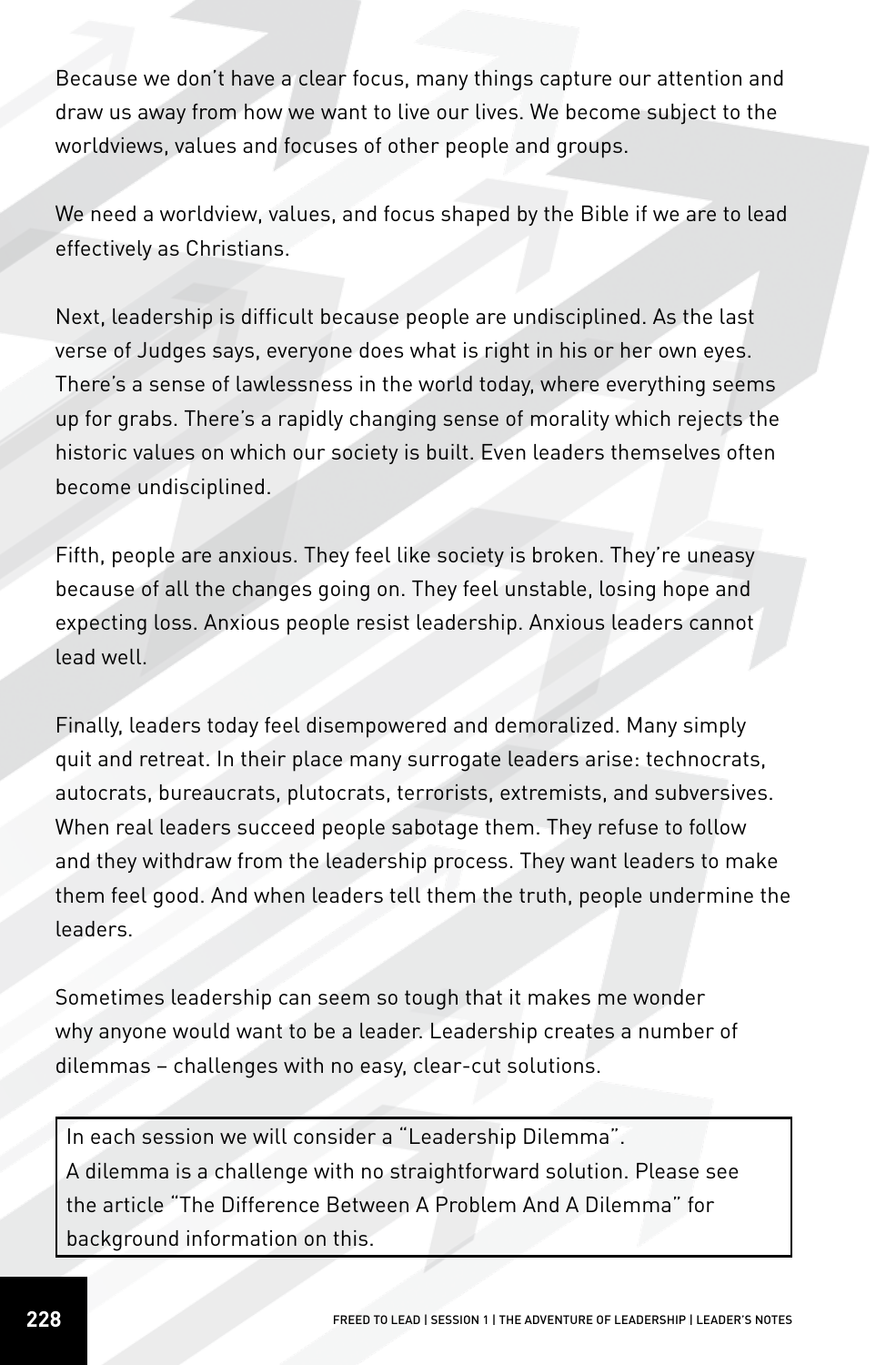Because we don't have a clear focus, many things capture our attention and draw us away from how we want to live our lives. We become subject to the worldviews, values and focuses of other people and groups.

We need a worldview, values, and focus shaped by the Bible if we are to lead effectively as Christians.

Next, leadership is difficult because people are undisciplined. As the last verse of Judges says, everyone does what is right in his or her own eyes. There's a sense of lawlessness in the world today, where everything seems up for grabs. There's a rapidly changing sense of morality which rejects the historic values on which our society is built. Even leaders themselves often become undisciplined.

Fifth, people are anxious. They feel like society is broken. They're uneasy because of all the changes going on. They feel unstable, losing hope and expecting loss. Anxious people resist leadership. Anxious leaders cannot lead well.

Finally, leaders today feel disempowered and demoralized. Many simply quit and retreat. In their place many surrogate leaders arise: technocrats, autocrats, bureaucrats, plutocrats, terrorists, extremists, and subversives. When real leaders succeed people sabotage them. They refuse to follow and they withdraw from the leadership process. They want leaders to make them feel good. And when leaders tell them the truth, people undermine the leaders.

Sometimes leadership can seem so tough that it makes me wonder why anyone would want to be a leader. Leadership creates a number of dilemmas – challenges with no easy, clear-cut solutions.

In each session we will consider a "Leadership Dilemma". A dilemma is a challenge with no straightforward solution. Please see the article "The Difference Between A Problem And A Dilemma" for background information on this.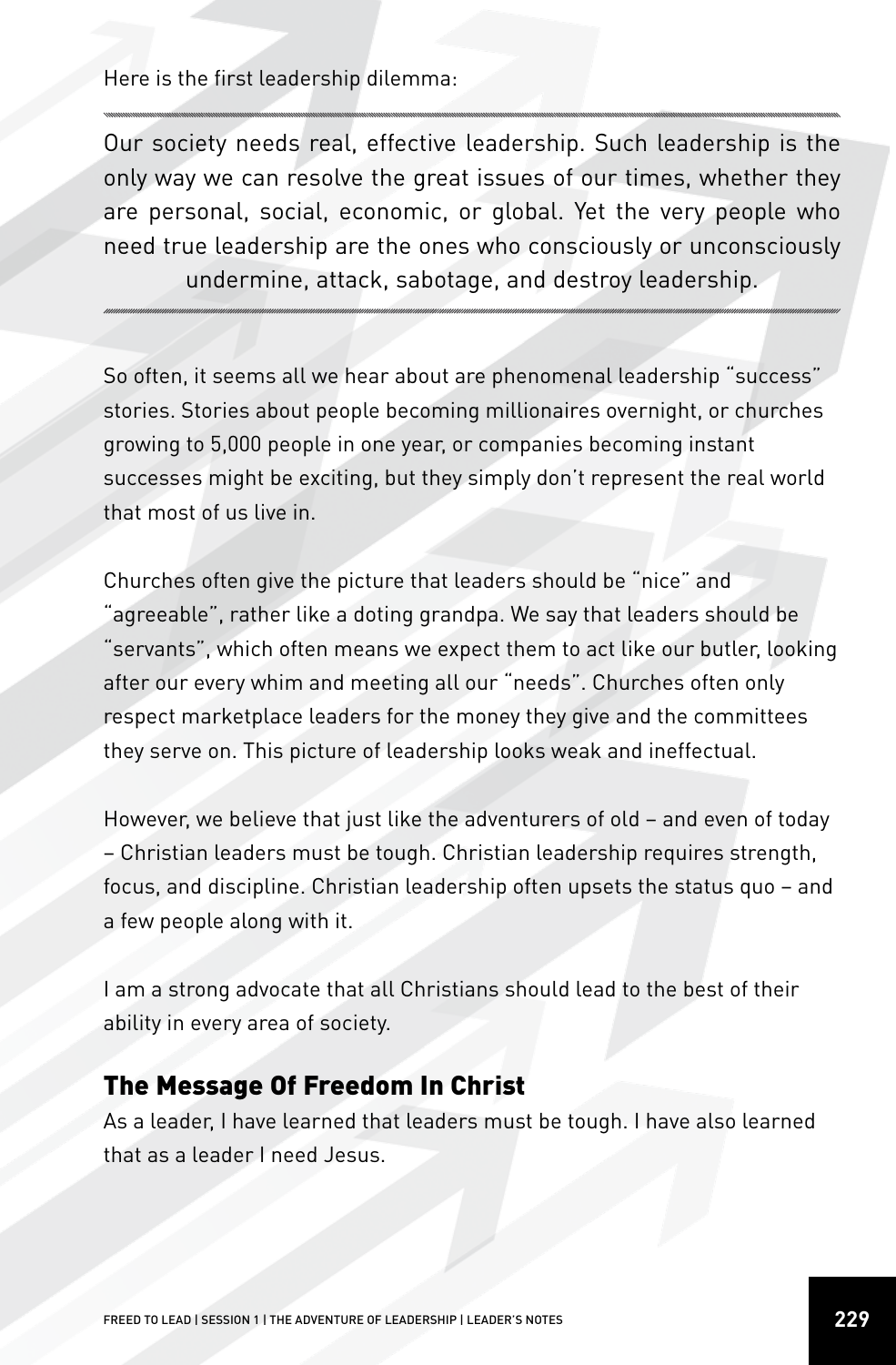Here is the first leadership dilemma:

Our society needs real, effective leadership. Such leadership is the only way we can resolve the great issues of our times, whether they are personal, social, economic, or global. Yet the very people who need true leadership are the ones who consciously or unconsciously undermine, attack, sabotage, and destroy leadership.

So often, it seems all we hear about are phenomenal leadership "success" stories. Stories about people becoming millionaires overnight, or churches growing to 5,000 people in one year, or companies becoming instant successes might be exciting, but they simply don't represent the real world that most of us live in.

Churches often give the picture that leaders should be "nice" and "agreeable", rather like a doting grandpa. We say that leaders should be "servants", which often means we expect them to act like our butler, looking after our every whim and meeting all our "needs". Churches often only respect marketplace leaders for the money they give and the committees they serve on. This picture of leadership looks weak and ineffectual.

However, we believe that just like the adventurers of old – and even of today – Christian leaders must be tough. Christian leadership requires strength, focus, and discipline. Christian leadership often upsets the status quo – and a few people along with it.

I am a strong advocate that all Christians should lead to the best of their ability in every area of society.

## The Message Of Freedom In Christ

As a leader, I have learned that leaders must be tough. I have also learned that as a leader I need Jesus.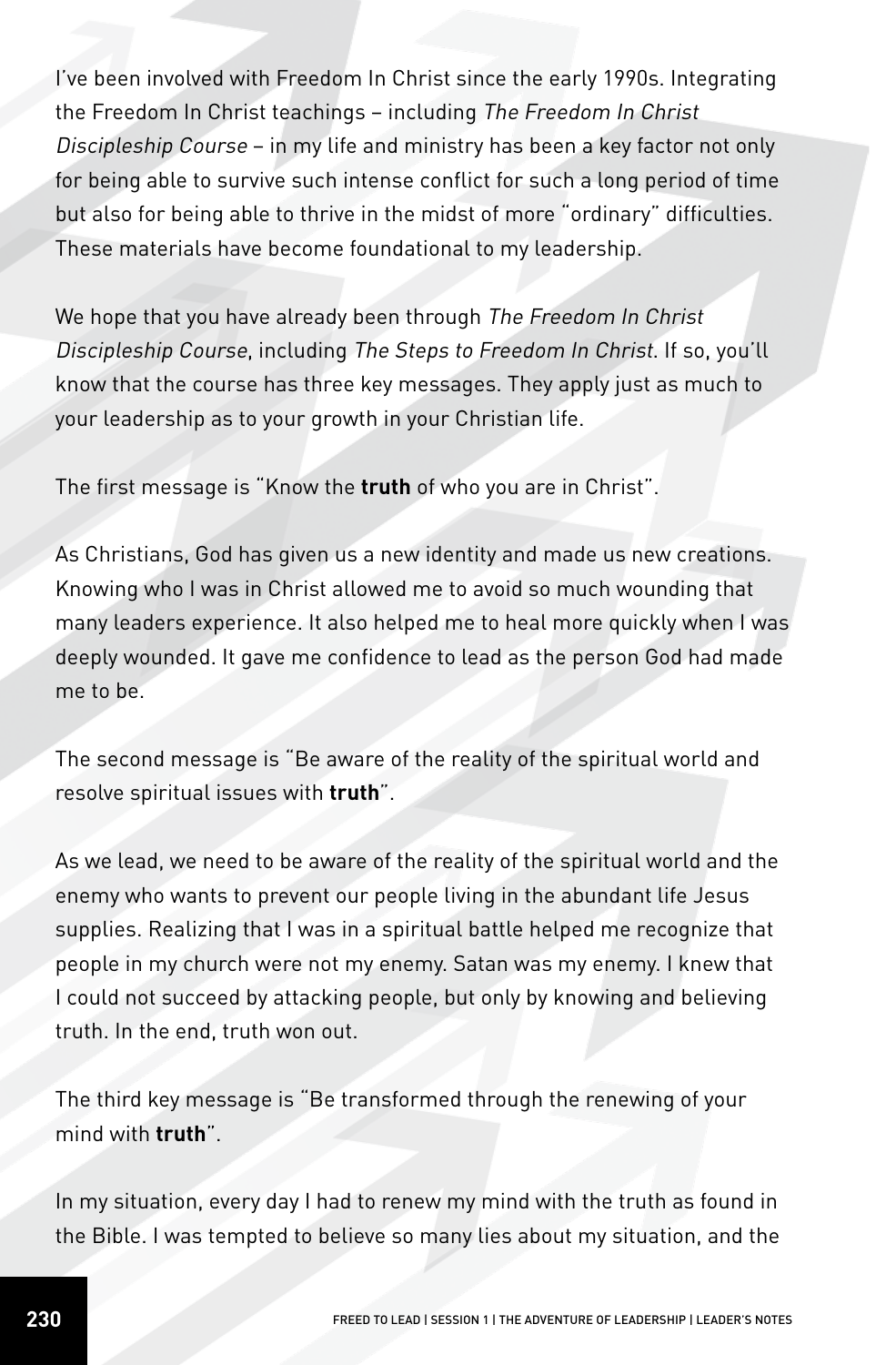I've been involved with Freedom In Christ since the early 1990s. Integrating the Freedom In Christ teachings – including The Freedom In Christ Discipleship Course – in my life and ministry has been a key factor not only for being able to survive such intense conflict for such a long period of time but also for being able to thrive in the midst of more "ordinary" difficulties. These materials have become foundational to my leadership.

We hope that you have already been through The Freedom In Christ Discipleship Course, including The Steps to Freedom In Christ. If so, you'll know that the course has three key messages. They apply just as much to your leadership as to your growth in your Christian life.

The first message is "Know the **truth** of who you are in Christ".

As Christians, God has given us a new identity and made us new creations. Knowing who I was in Christ allowed me to avoid so much wounding that many leaders experience. It also helped me to heal more quickly when I was deeply wounded. It gave me confidence to lead as the person God had made me to be.

The second message is "Be aware of the reality of the spiritual world and resolve spiritual issues with **truth**".

As we lead, we need to be aware of the reality of the spiritual world and the enemy who wants to prevent our people living in the abundant life Jesus supplies. Realizing that I was in a spiritual battle helped me recognize that people in my church were not my enemy. Satan was my enemy. I knew that I could not succeed by attacking people, but only by knowing and believing truth. In the end, truth won out.

The third key message is "Be transformed through the renewing of your mind with **truth**".

In my situation, every day I had to renew my mind with the truth as found in the Bible. I was tempted to believe so many lies about my situation, and the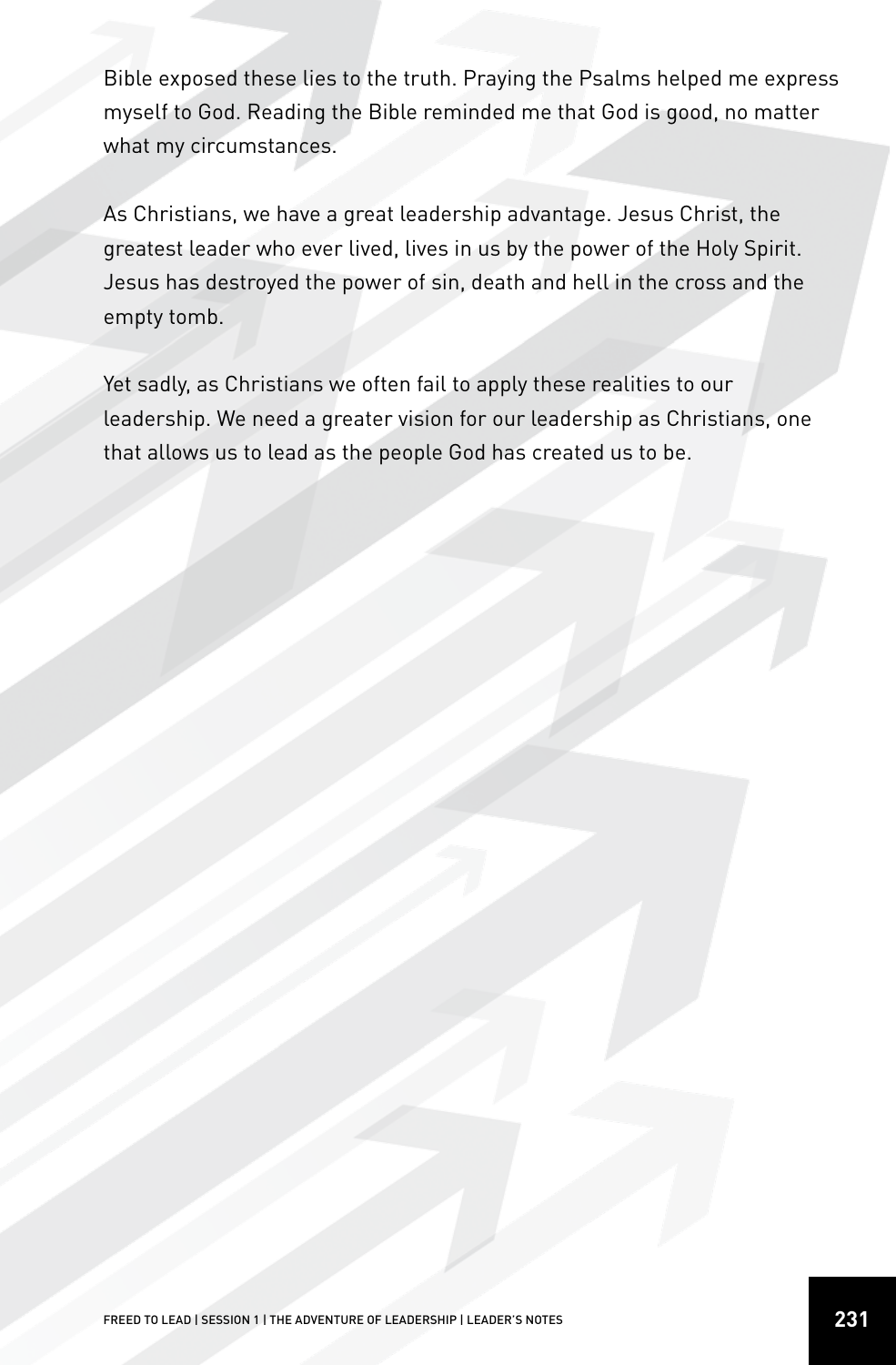Bible exposed these lies to the truth. Praying the Psalms helped me express myself to God. Reading the Bible reminded me that God is good, no matter what my circumstances.

As Christians, we have a great leadership advantage. Jesus Christ, the greatest leader who ever lived, lives in us by the power of the Holy Spirit. Jesus has destroyed the power of sin, death and hell in the cross and the empty tomb.

Yet sadly, as Christians we often fail to apply these realities to our leadership. We need a greater vision for our leadership as Christians, one that allows us to lead as the people God has created us to be.